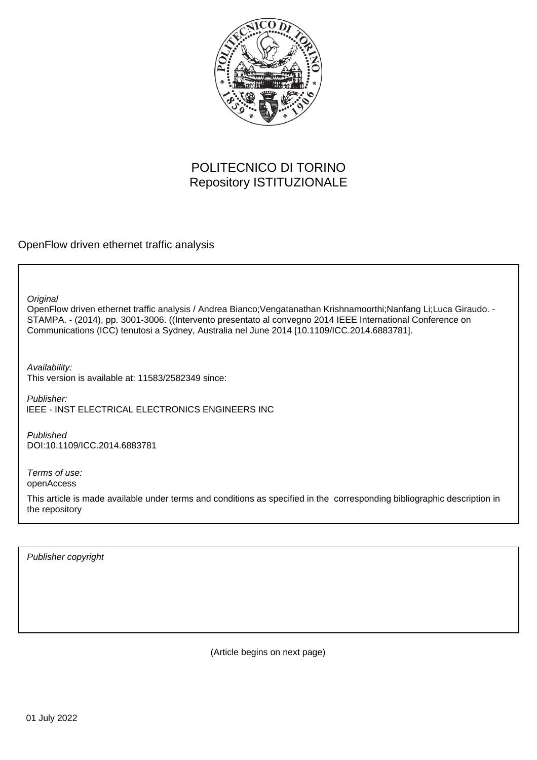

# POLITECNICO DI TORINO Repository ISTITUZIONALE

OpenFlow driven ethernet traffic analysis

**Original** 

OpenFlow driven ethernet traffic analysis / Andrea Bianco;Vengatanathan Krishnamoorthi;Nanfang Li;Luca Giraudo. - STAMPA. - (2014), pp. 3001-3006. ((Intervento presentato al convegno 2014 IEEE International Conference on Communications (ICC) tenutosi a Sydney, Australia nel June 2014 [10.1109/ICC.2014.6883781].

Availability: This version is available at: 11583/2582349 since:

Publisher: IEEE - INST ELECTRICAL ELECTRONICS ENGINEERS INC

Published DOI:10.1109/ICC.2014.6883781

Terms of use: openAccess

This article is made available under terms and conditions as specified in the corresponding bibliographic description in the repository

Publisher copyright

(Article begins on next page)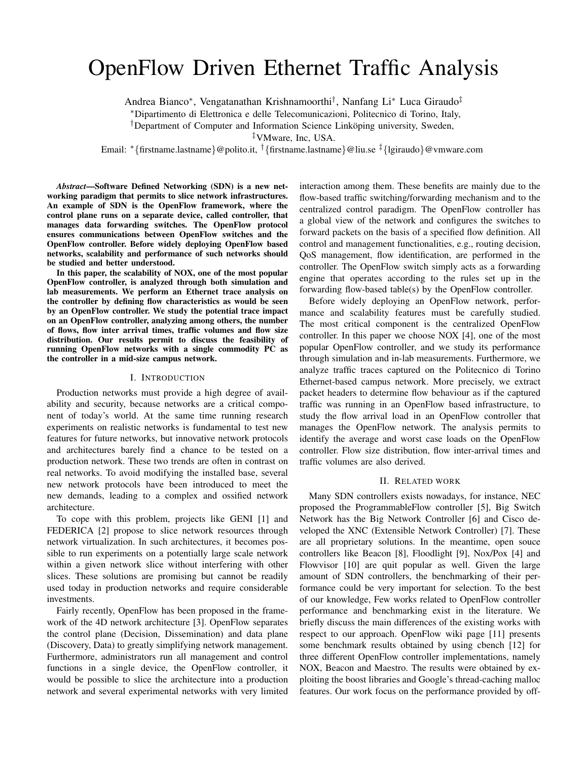# OpenFlow Driven Ethernet Traffic Analysis

Andrea Bianco<sup>∗</sup> , Vengatanathan Krishnamoorthi† , Nanfang Li<sup>∗</sup> Luca Giraudo‡

<sup>∗</sup>Dipartimento di Elettronica e delle Telecomunicazioni, Politecnico di Torino, Italy,

<sup>†</sup>Department of Computer and Information Science Linkoping university, Sweden,

‡VMware, Inc, USA.

Email: <sup>∗</sup>{firstname.lastname}@polito.it, †{firstname.lastname}@liu.se ‡{lgiraudo}@vmware.com

*Abstract*—Software Defined Networking (SDN) is a new networking paradigm that permits to slice network infrastructures. An example of SDN is the OpenFlow framework, where the control plane runs on a separate device, called controller, that manages data forwarding switches. The OpenFlow protocol ensures communications between OpenFlow switches and the OpenFlow controller. Before widely deploying OpenFlow based networks, scalability and performance of such networks should be studied and better understood.

In this paper, the scalability of NOX, one of the most popular OpenFlow controller, is analyzed through both simulation and lab measurements. We perform an Ethernet trace analysis on the controller by defining flow characteristics as would be seen by an OpenFlow controller. We study the potential trace impact on an OpenFlow controller, analyzing among others, the number of flows, flow inter arrival times, traffic volumes and flow size distribution. Our results permit to discuss the feasibility of running OpenFlow networks with a single commodity PC as the controller in a mid-size campus network.

#### I. INTRODUCTION

Production networks must provide a high degree of availability and security, because networks are a critical component of today's world. At the same time running research experiments on realistic networks is fundamental to test new features for future networks, but innovative network protocols and architectures barely find a chance to be tested on a production network. These two trends are often in contrast on real networks. To avoid modifying the installed base, several new network protocols have been introduced to meet the new demands, leading to a complex and ossified network architecture.

To cope with this problem, projects like GENI [1] and FEDERICA [2] propose to slice network resources through network virtualization. In such architectures, it becomes possible to run experiments on a potentially large scale network within a given network slice without interfering with other slices. These solutions are promising but cannot be readily used today in production networks and require considerable investments.

Fairly recently, OpenFlow has been proposed in the framework of the 4D network architecture [3]. OpenFlow separates the control plane (Decision, Dissemination) and data plane (Discovery, Data) to greatly simplifying network management. Furthermore, administrators run all management and control functions in a single device, the OpenFlow controller, it would be possible to slice the architecture into a production network and several experimental networks with very limited interaction among them. These benefits are mainly due to the flow-based traffic switching/forwarding mechanism and to the centralized control paradigm. The OpenFlow controller has a global view of the network and configures the switches to forward packets on the basis of a specified flow definition. All control and management functionalities, e.g., routing decision, QoS management, flow identification, are performed in the controller. The OpenFlow switch simply acts as a forwarding engine that operates according to the rules set up in the forwarding flow-based table(s) by the OpenFlow controller.

Before widely deploying an OpenFlow network, performance and scalability features must be carefully studied. The most critical component is the centralized OpenFlow controller. In this paper we choose NOX [4], one of the most popular OpenFlow controller, and we study its performance through simulation and in-lab measurements. Furthermore, we analyze traffic traces captured on the Politecnico di Torino Ethernet-based campus network. More precisely, we extract packet headers to determine flow behaviour as if the captured traffic was running in an OpenFlow based infrastructure, to study the flow arrival load in an OpenFlow controller that manages the OpenFlow network. The analysis permits to identify the average and worst case loads on the OpenFlow controller. Flow size distribution, flow inter-arrival times and traffic volumes are also derived.

# II. RELATED WORK

Many SDN controllers exists nowadays, for instance, NEC proposed the ProgrammableFlow controller [5], Big Switch Network has the Big Network Controller [6] and Cisco developed the XNC (Extensible Network Controller) [7]. These are all proprietary solutions. In the meantime, open souce controllers like Beacon [8], Floodlight [9], Nox/Pox [4] and Flowvisor [10] are quit popular as well. Given the large amount of SDN controllers, the benchmarking of their performance could be very important for selection. To the best of our knowledge, Few works related to OpenFlow controller performance and benchmarking exist in the literature. We briefly discuss the main differences of the existing works with respect to our approach. OpenFlow wiki page [11] presents some benchmark results obtained by using cbench [12] for three different OpenFlow controller implementations, namely NOX, Beacon and Maestro. The results were obtained by exploiting the boost libraries and Google's thread-caching malloc features. Our work focus on the performance provided by off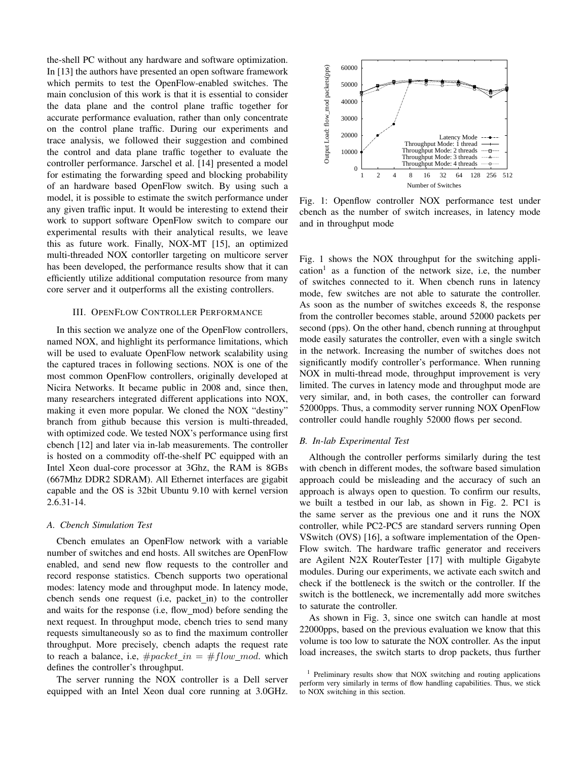the-shell PC without any hardware and software optimization. In [13] the authors have presented an open software framework which permits to test the OpenFlow-enabled switches. The main conclusion of this work is that it is essential to consider the data plane and the control plane traffic together for accurate performance evaluation, rather than only concentrate on the control plane traffic. During our experiments and trace analysis, we followed their suggestion and combined the control and data plane traffic together to evaluate the controller performance. Jarschel et al. [14] presented a model for estimating the forwarding speed and blocking probability of an hardware based OpenFlow switch. By using such a model, it is possible to estimate the switch performance under any given traffic input. It would be interesting to extend their work to support software OpenFlow switch to compare our experimental results with their analytical results, we leave this as future work. Finally, NOX-MT [15], an optimized multi-threaded NOX contorller targeting on multicore server has been developed, the performance results show that it can efficiently utilize additional computation resource from many core server and it outperforms all the existing controllers.

# III. OPENFLOW CONTROLLER PERFORMANCE

In this section we analyze one of the OpenFlow controllers, named NOX, and highlight its performance limitations, which will be used to evaluate OpenFlow network scalability using the captured traces in following sections. NOX is one of the most common OpenFlow controllers, originally developed at Nicira Networks. It became public in 2008 and, since then, many researchers integrated different applications into NOX, making it even more popular. We cloned the NOX "destiny" branch from github because this version is multi-threaded, with optimized code. We tested NOX's performance using first cbench [12] and later via in-lab measurements. The controller is hosted on a commodity off-the-shelf PC equipped with an Intel Xeon dual-core processor at 3Ghz, the RAM is 8GBs (667Mhz DDR2 SDRAM). All Ethernet interfaces are gigabit capable and the OS is 32bit Ubuntu 9.10 with kernel version 2.6.31-14.

#### *A. Cbench Simulation Test*

Cbench emulates an OpenFlow network with a variable number of switches and end hosts. All switches are OpenFlow enabled, and send new flow requests to the controller and record response statistics. Cbench supports two operational modes: latency mode and throughput mode. In latency mode, cbench sends one request (i.e, packet in) to the controller and waits for the response (i.e, flow mod) before sending the next request. In throughput mode, cbench tries to send many requests simultaneously so as to find the maximum controller throughput. More precisely, cbench adapts the request rate to reach a balance, i.e,  $\# packet \ in = #flow \ mod.$  which defines the controller's throughput.

The server running the NOX controller is a Dell server equipped with an Intel Xeon dual core running at 3.0GHz.



Fig. 1: Openflow controller NOX performance test under cbench as the number of switch increases, in latency mode and in throughput mode

Fig. 1 shows the NOX throughput for the switching appli $cation<sup>1</sup>$  as a function of the network size, i.e, the number of switches connected to it. When cbench runs in latency mode, few switches are not able to saturate the controller. As soon as the number of switches exceeds 8, the response from the controller becomes stable, around 52000 packets per second (pps). On the other hand, cbench running at throughput mode easily saturates the controller, even with a single switch in the network. Increasing the number of switches does not significantly modify controller's performance. When running NOX in multi-thread mode, throughput improvement is very limited. The curves in latency mode and throughput mode are very similar, and, in both cases, the controller can forward 52000pps. Thus, a commodity server running NOX OpenFlow controller could handle roughly 52000 flows per second.

#### *B. In-lab Experimental Test*

Although the controller performs similarly during the test with cbench in different modes, the software based simulation approach could be misleading and the accuracy of such an approach is always open to question. To confirm our results, we built a testbed in our lab, as shown in Fig. 2. PC1 is the same server as the previous one and it runs the NOX controller, while PC2-PC5 are standard servers running Open VSwitch (OVS) [16], a software implementation of the Open-Flow switch. The hardware traffic generator and receivers are Agilent N2X RouterTester [17] with multiple Gigabyte modules. During our experiments, we activate each switch and check if the bottleneck is the switch or the controller. If the switch is the bottleneck, we incrementally add more switches to saturate the controller.

As shown in Fig. 3, since one switch can handle at most 22000pps, based on the previous evaluation we know that this volume is too low to saturate the NOX controller. As the input load increases, the switch starts to drop packets, thus further

<sup>&</sup>lt;sup>1</sup> Preliminary results show that NOX switching and routing applications perform very similarly in terms of flow handling capabilities. Thus, we stick to NOX switching in this section.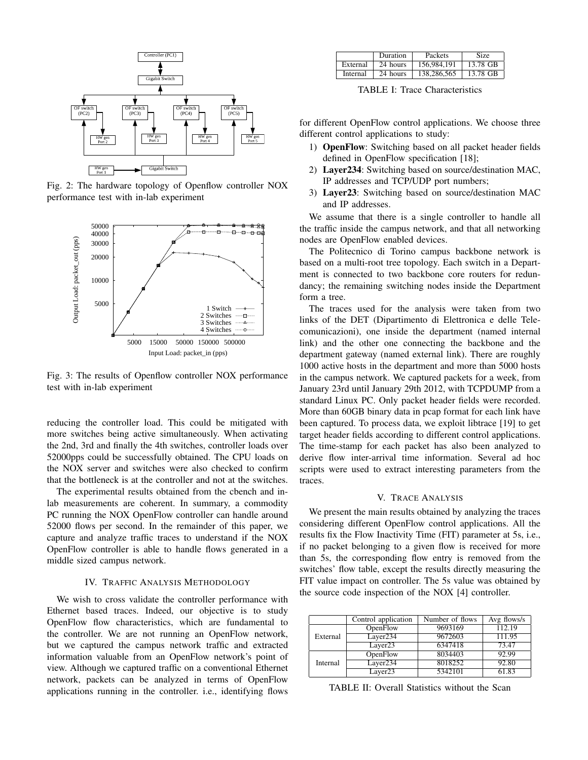

Fig. 2: The hardware topology of Openflow controller NOX performance test with in-lab experiment



Fig. 3: The results of Openflow controller NOX performance test with in-lab experiment

reducing the controller load. This could be mitigated with more switches being active simultaneously. When activating the 2nd, 3rd and finally the 4th switches, controller loads over 52000pps could be successfully obtained. The CPU loads on the NOX server and switches were also checked to confirm that the bottleneck is at the controller and not at the switches.

The experimental results obtained from the cbench and inlab measurements are coherent. In summary, a commodity PC running the NOX OpenFlow controller can handle around 52000 flows per second. In the remainder of this paper, we capture and analyze traffic traces to understand if the NOX OpenFlow controller is able to handle flows generated in a middle sized campus network.

#### IV. TRAFFIC ANALYSIS METHODOLOGY

We wish to cross validate the controller performance with Ethernet based traces. Indeed, our objective is to study OpenFlow flow characteristics, which are fundamental to the controller. We are not running an OpenFlow network, but we captured the campus network traffic and extracted information valuable from an OpenFlow network's point of view. Although we captured traffic on a conventional Ethernet network, packets can be analyzed in terms of OpenFlow applications running in the controller. i.e., identifying flows

|          | Duration | Packets     | Size     |
|----------|----------|-------------|----------|
| External | 24 hours | 156.984.191 | 13.78 GB |
| Internal | 24 hours | 138,286,565 | 13.78 GB |

TABLE I: Trace Characteristics

for different OpenFlow control applications. We choose three different control applications to study:

- 1) OpenFlow: Switching based on all packet header fields defined in OpenFlow specification [18];
- 2) Layer234: Switching based on source/destination MAC, IP addresses and TCP/UDP port numbers;
- 3) Layer23: Switching based on source/destination MAC and IP addresses.

We assume that there is a single controller to handle all the traffic inside the campus network, and that all networking nodes are OpenFlow enabled devices.

The Politecnico di Torino campus backbone network is based on a multi-root tree topology. Each switch in a Department is connected to two backbone core routers for redundancy; the remaining switching nodes inside the Department form a tree.

The traces used for the analysis were taken from two links of the DET (Dipartimento di Elettronica e delle Telecomunicazioni), one inside the department (named internal link) and the other one connecting the backbone and the department gateway (named external link). There are roughly 1000 active hosts in the department and more than 5000 hosts in the campus network. We captured packets for a week, from January 23rd until January 29th 2012, with TCPDUMP from a standard Linux PC. Only packet header fields were recorded. More than 60GB binary data in pcap format for each link have been captured. To process data, we exploit libtrace [19] to get target header fields according to different control applications. The time-stamp for each packet has also been analyzed to derive flow inter-arrival time information. Several ad hoc scripts were used to extract interesting parameters from the traces.

#### V. TRACE ANALYSIS

We present the main results obtained by analyzing the traces considering different OpenFlow control applications. All the results fix the Flow Inactivity Time (FIT) parameter at 5s, i.e., if no packet belonging to a given flow is received for more than 5s, the corresponding flow entry is removed from the switches' flow table, except the results directly measuring the FIT value impact on controller. The 5s value was obtained by the source code inspection of the NOX [4] controller.

|          | Control application  | Number of flows | Avg flows/s |
|----------|----------------------|-----------------|-------------|
| External | OpenFlow             | 9693169         | 112.19      |
|          | Layer <sub>234</sub> | 9672603         | 111.95      |
|          | Layer <sub>23</sub>  | 6347418         | 73.47       |
| Internal | OpenFlow             | 8034403         | 92.99       |
|          | Layer <sub>234</sub> | 8018252         | 92.80       |
|          | Layer <sub>23</sub>  | 5342101         | 61.83       |

TABLE II: Overall Statistics without the Scan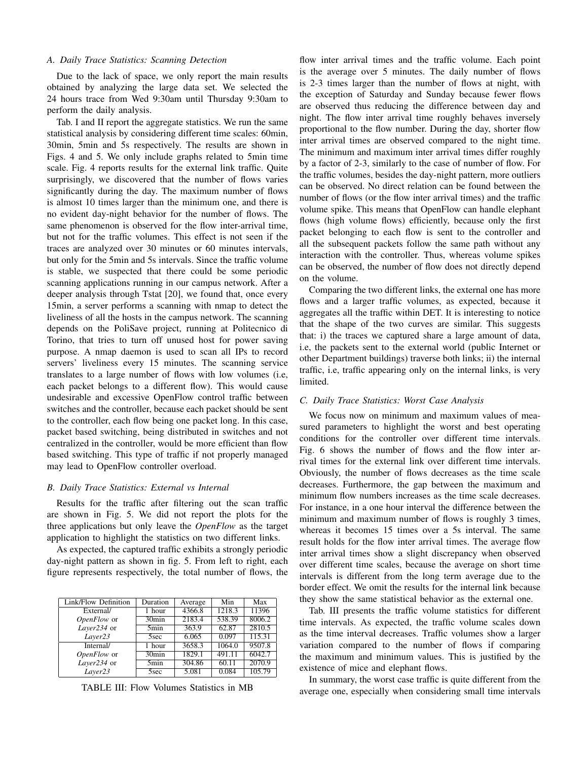#### *A. Daily Trace Statistics: Scanning Detection*

Due to the lack of space, we only report the main results obtained by analyzing the large data set. We selected the 24 hours trace from Wed 9:30am until Thursday 9:30am to perform the daily analysis.

Tab. I and II report the aggregate statistics. We run the same statistical analysis by considering different time scales: 60min, 30min, 5min and 5s respectively. The results are shown in Figs. 4 and 5. We only include graphs related to 5min time scale. Fig. 4 reports results for the external link traffic. Quite surprisingly, we discovered that the number of flows varies significantly during the day. The maximum number of flows is almost 10 times larger than the minimum one, and there is no evident day-night behavior for the number of flows. The same phenomenon is observed for the flow inter-arrival time, but not for the traffic volumes. This effect is not seen if the traces are analyzed over 30 minutes or 60 minutes intervals, but only for the 5min and 5s intervals. Since the traffic volume is stable, we suspected that there could be some periodic scanning applications running in our campus network. After a deeper analysis through Tstat [20], we found that, once every 15min, a server performs a scanning with nmap to detect the liveliness of all the hosts in the campus network. The scanning depends on the PoliSave project, running at Politecnico di Torino, that tries to turn off unused host for power saving purpose. A nmap daemon is used to scan all IPs to record servers' liveliness every 15 minutes. The scanning service translates to a large number of flows with low volumes (i.e, each packet belongs to a different flow). This would cause undesirable and excessive OpenFlow control traffic between switches and the controller, because each packet should be sent to the controller, each flow being one packet long. In this case, packet based switching, being distributed in switches and not centralized in the controller, would be more efficient than flow based switching. This type of traffic if not properly managed may lead to OpenFlow controller overload.

#### *B. Daily Trace Statistics: External vs Internal*

Results for the traffic after filtering out the scan traffic are shown in Fig. 5. We did not report the plots for the three applications but only leave the *OpenFlow* as the target application to highlight the statistics on two different links.

As expected, the captured traffic exhibits a strongly periodic day-night pattern as shown in fig. 5. From left to right, each figure represents respectively, the total number of flows, the

| Link/Flow Definition | Duration          | Average | Min    | Max    |
|----------------------|-------------------|---------|--------|--------|
| External/            | 1 hour            | 4366.8  | 1218.3 | 11396  |
| OpenFlow or          | 30 <sub>min</sub> | 2183.4  | 538.39 | 8006.2 |
| Layer234 or          | 5min              | 363.9   | 62.87  | 2810.5 |
| Laver23              | 5sec              | 6.065   | 0.097  | 115.31 |
| Internal/            | 1 hour            | 3658.3  | 1064.0 | 9507.8 |
| OpenFlow or          | $30$ min          | 1829.1  | 491.11 | 6042.7 |
| Layer234 or          | 5min              | 304.86  | 60.11  | 2070.9 |
| Laver23              | 5sec              | 5.081   | 0.084  | 105.79 |

TABLE III: Flow Volumes Statistics in MB

flow inter arrival times and the traffic volume. Each point is the average over 5 minutes. The daily number of flows is 2-3 times larger than the number of flows at night, with the exception of Saturday and Sunday because fewer flows are observed thus reducing the difference between day and night. The flow inter arrival time roughly behaves inversely proportional to the flow number. During the day, shorter flow inter arrival times are observed compared to the night time. The minimum and maximum inter arrival times differ roughly by a factor of 2-3, similarly to the case of number of flow. For the traffic volumes, besides the day-night pattern, more outliers can be observed. No direct relation can be found between the number of flows (or the flow inter arrival times) and the traffic volume spike. This means that OpenFlow can handle elephant flows (high volume flows) efficiently, because only the first packet belonging to each flow is sent to the controller and all the subsequent packets follow the same path without any interaction with the controller. Thus, whereas volume spikes can be observed, the number of flow does not directly depend on the volume.

Comparing the two different links, the external one has more flows and a larger traffic volumes, as expected, because it aggregates all the traffic within DET. It is interesting to notice that the shape of the two curves are similar. This suggests that: i) the traces we captured share a large amount of data, i.e, the packets sent to the external world (public Internet or other Department buildings) traverse both links; ii) the internal traffic, i.e, traffic appearing only on the internal links, is very limited.

# *C. Daily Trace Statistics: Worst Case Analysis*

We focus now on minimum and maximum values of measured parameters to highlight the worst and best operating conditions for the controller over different time intervals. Fig. 6 shows the number of flows and the flow inter arrival times for the external link over different time intervals. Obviously, the number of flows decreases as the time scale decreases. Furthermore, the gap between the maximum and minimum flow numbers increases as the time scale decreases. For instance, in a one hour interval the difference between the minimum and maximum number of flows is roughly 3 times, whereas it becomes 15 times over a 5s interval. The same result holds for the flow inter arrival times. The average flow inter arrival times show a slight discrepancy when observed over different time scales, because the average on short time intervals is different from the long term average due to the border effect. We omit the results for the internal link because they show the same statistical behavior as the external one.

Tab. III presents the traffic volume statistics for different time intervals. As expected, the traffic volume scales down as the time interval decreases. Traffic volumes show a larger variation compared to the number of flows if comparing the maximum and minimum values. This is justified by the existence of mice and elephant flows.

In summary, the worst case traffic is quite different from the average one, especially when considering small time intervals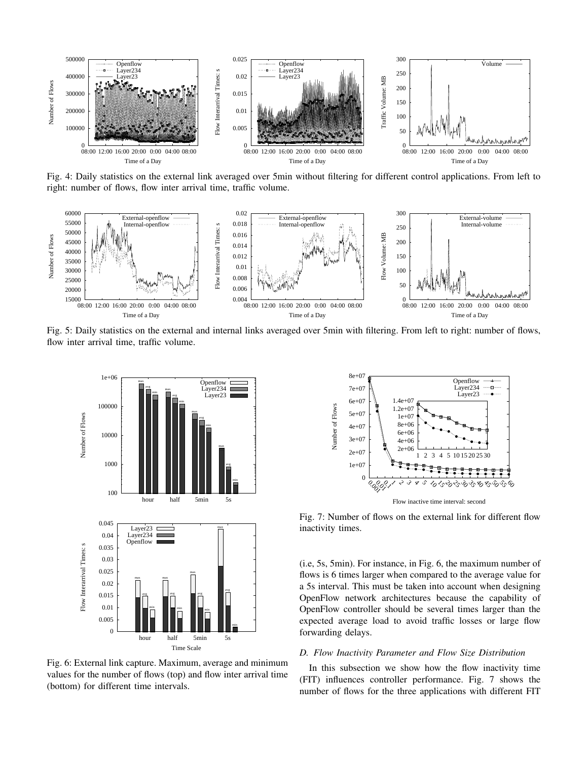

Fig. 4: Daily statistics on the external link averaged over 5min without filtering for different control applications. From left to right: number of flows, flow inter arrival time, traffic volume.



Fig. 5: Daily statistics on the external and internal links averaged over 5min with filtering. From left to right: number of flows, flow inter arrival time, traffic volume.



Fig. 6: External link capture. Maximum, average and minimum values for the number of flows (top) and flow inter arrival time (bottom) for different time intervals.



Fig. 7: Number of flows on the external link for different flow inactivity times.

(i.e, 5s, 5min). For instance, in Fig. 6, the maximum number of flows is 6 times larger when compared to the average value for a 5s interval. This must be taken into account when designing OpenFlow network architectures because the capability of OpenFlow controller should be several times larger than the expected average load to avoid traffic losses or large flow forwarding delays.

# *D. Flow Inactivity Parameter and Flow Size Distribution*

In this subsection we show how the flow inactivity time (FIT) influences controller performance. Fig. 7 shows the number of flows for the three applications with different FIT